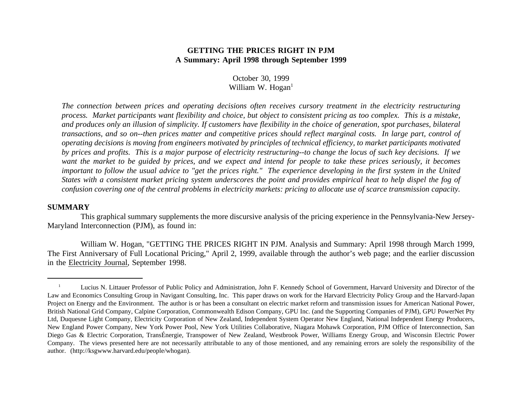## **GETTING THE PRICES RIGHT IN PJMA Summary: April 1998 through September 1999**

## October 30, 1999 William W.  $Hogan<sup>1</sup>$

The connection between prices and operating decisions often receives cursory treatment in the electricity restructuring process. Market participants want flexibility and choice, but object to consistent pricing as too complex. This is a mistake, and produces only an illusion of simplicity. If customers have flexibility in the choice of generation, spot purchases, bilateral transactions, and so on--then prices matter and competitive prices should reflect marginal costs. In large part, control of operating decisions is moving from engineers motivated by principles of technical efficiency, to market participants motivated by prices and profits. This is a major purpose of electricity restructuring--to change the locus of such key decisions. If we want the market to be guided by prices, and we expect and intend for people to take these prices seriously, it becomes important to follow the usual advice to "get the prices right." The experience developing in the first system in the United States with a consistent market pricing system underscores the point and provides empirical heat to help dispel the fog of confusion covering one of the central problems in electricity markets: pricing to allocate use of scarce transmission capacity.

## **SUMMARY**

This graphical summary supplements the more discursive analysis of the pricing experience in the Pennsylvania-New Jersey-Maryland Interconnection (PJM), as found in:

William W. Hogan, "GETTING THE PRICES RIGHT IN PJM. Analysis and Summary: April 1998 through March 1999, The First Anniversary of Full Locational Pricing," April 2, 1999, available through the author's web page; and the earlier discussion in the Electricity Journal, September 1998.

<sup>1</sup> Lucius N. Littauer Professor of Public Policy and Administration, John F. Kennedy School of Government, Harvard University and Director of the Law and Economics Consulting Group in Navigant Consulting, Inc. This paper draws on work for the Harvard Electricity Policy Group and the Harvard-Japan Project on Energy and the Environment. The author is or has been <sup>a</sup> consultant on electric market reform and transmission issues for American National Power, British National Grid Company, Calpine Corporation, Commonwealth Edison Company, GPU Inc. (and the Supporting Companies of PJM), GPU PowerNet Pty Ltd, Duquesne Light Company, Electricity Corporation of New Zealand, Independent System Operator New England, National Independent Energy Producers, New England Power Company, New York Power Pool, New York Utilities Collaborative, Niagara Mohawk Corporation, PJM Office of Interconnection, San Diego Gas & Electric Corporation, TransÉnergie, Transpower of New Zealand, Westbrook Power, Williams Energy Group, and Wisconsin Electric Power Company. The views presented here are not necessarily attributable to any of those mentioned, and any remaining errors are solely the responsibility of the author. (http://ksgwww.harvard.edu/people/whogan).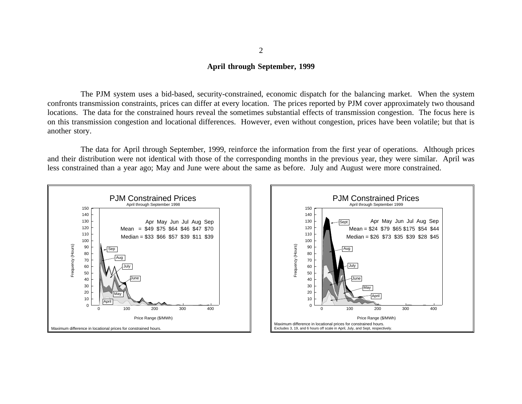## **April through September, 1999**

The PJM system uses <sup>a</sup> bid-based, security-constrained, economic dispatch for the balancing market. When the system confronts transmission constraints, prices can differ at every location. The prices reported by PJM cover approximately two thousand locations. The data for the constrained hours reveal the sometimes substantial effects of transmission congestion. The focus here is on this transmission congestion and locational differences. However, even without congestion, prices have been volatile; but that is another story.

The data for April through September, 1999, reinforce the information from the first year of operations. Although prices and their distribution were not identical with those of the corresponding months in the previous year, they were similar. April was less constrained than <sup>a</sup> year ago; May and June were about the same as before. July and August were more constrained.





2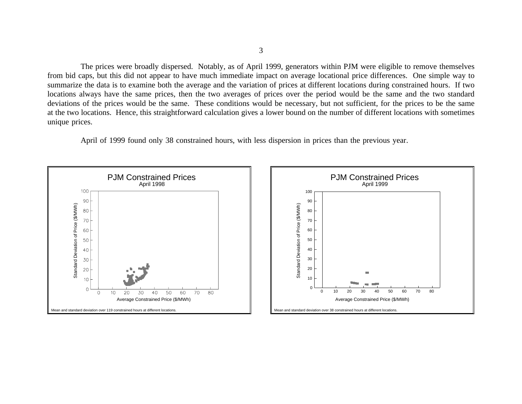The prices were broadly dispersed. Notably, as of April 1999, generators within PJM were eligible to remove themselves from bid caps, but this did not appear to have much immediate impact on average locational price differences. One simple way to summarize the data is to examine both the average and the variation of prices at different locations during constrained hours. If two locations always have the same prices, then the two averages of prices over the period would be the same and the two standard deviations of the prices would be the same. These conditions would be necessary, but not sufficient, for the prices to be the same at the two locations. Hence, this straightforward calculation gives <sup>a</sup> lower bound on the number of different locations with sometimes unique prices.

April of 1999 found only 38 constrained hours, with less dispersion in prices than the previous year.



3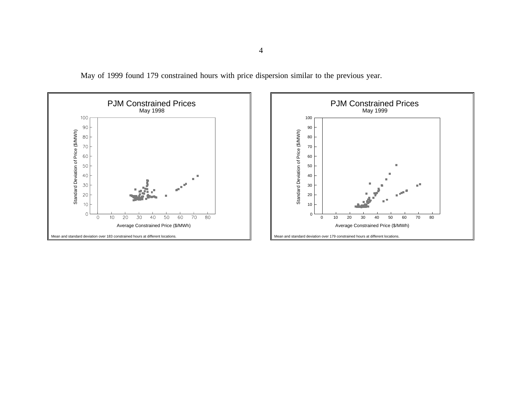May of 1999 found 179 constrained hours with price dispersion similar to the previous year.

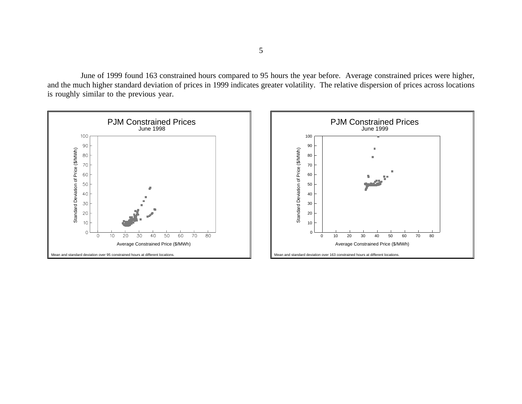June of 1999 found 163 constrained hours compared to 95 hours the year before. Average constrained prices were higher, and the much higher standard deviation of prices in 1999 indicates greater volatility. The relative dispersion of prices across locations is roughly similar to the previous year.

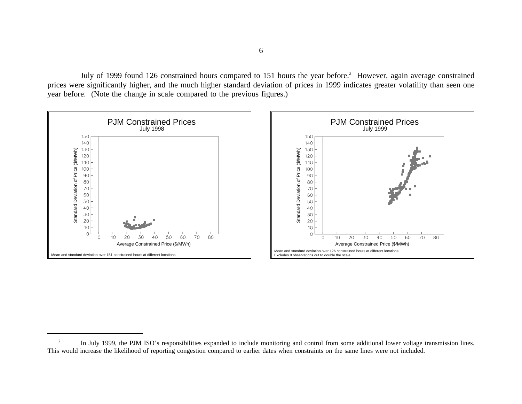July of 1999 found 126 constrained hours compared to 151 hours the year before.<sup>2</sup> However, again average constrained prices were significantly higher, and the much higher standard deviation of prices in 1999 indicates greater volatility than seen one year before. (Note the change in scale compared to the previous figures.)



<sup>2</sup> In July 1999, the PJM ISO's responsibilities expanded to include monitoring and control from some additional lower voltage transmission lines. This would increase the likelihood of reporting congestion compared to earlier dates when constraints on the same lines were not included.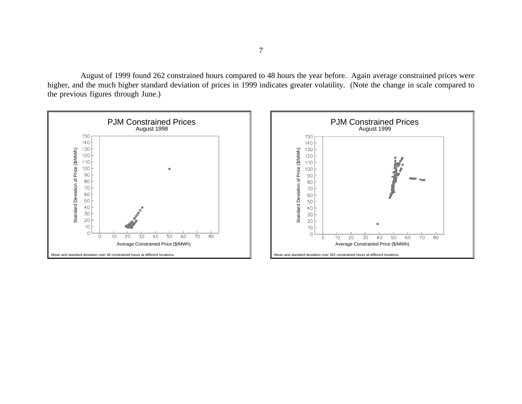August of 1999 found 262 constrained hours compared to 48 hours the year before. Again average constrained prices were higher, and the much higher standard deviation of prices in 1999 indicates greater volatility. (Note the change in scale compared to the previous figures through June.)

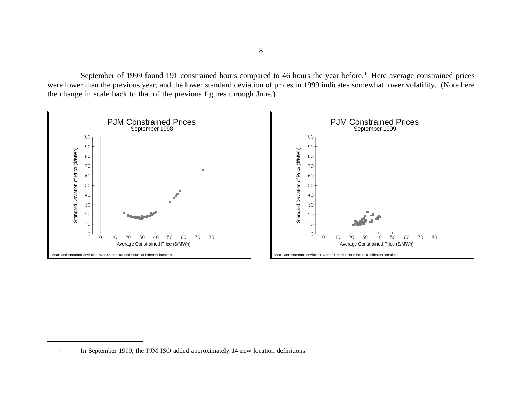September of 1999 found 191 constrained hours compared to 46 hours the year before.<sup>3</sup> Here average constrained prices were lower than the previous year, and the lower standard deviation of prices in 1999 indicates somewhat lower volatility. (Note here the change in scale back to that of the previous figures through June.)



<sup>3</sup>In September 1999, the PJM ISO added approximately 14 new location definitions.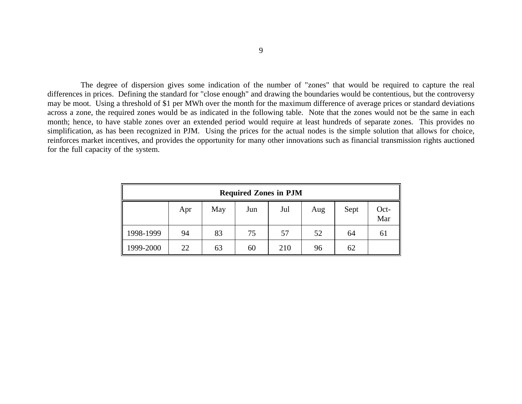The degree of dispersion gives some indication of the number of "zones" that would be required to capture the real differences in prices. Defining the standard for "close enough" and drawing the boundaries would be contentious, but the controversy may be moot. Using <sup>a</sup> threshold of \$1 per MWh over the month for the maximum difference of average prices or standard deviations across <sup>a</sup> zone, the required zones would be as indicated in the following table. Note that the zones would not be the same in each month; hence, to have stable zones over an extended period would require at least hundreds of separate zones. This provides no simplification, as has been recognized in PJM. Using the prices for the actual nodes is the simple solution that allows for choice, reinforces market incentives, and provides the opportunity for many other innovations such as financial transmission rights auctioned for the full capacity of the system.

| <b>Required Zones in PJM</b> |     |     |     |     |     |      |             |
|------------------------------|-----|-----|-----|-----|-----|------|-------------|
|                              | Apr | May | Jun | Jul | Aug | Sept | Oct-<br>Mar |
| 1998-1999                    | 94  | 83  | 75  | 57  | 52  | 64   | 61          |
| 1999-2000                    | 22  | 63  | 60  | 210 | 96  | 62   |             |